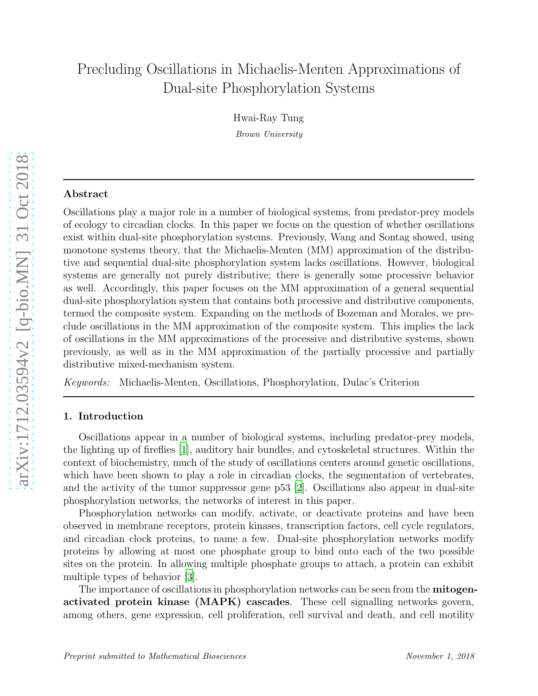# Precluding Oscillations in Michaelis-Menten Approximations of Dual-site Phosphorylation Systems

Hwai-Ray Tung

Brown University

## Abstract

Oscillations play a major role in a number of biological systems, from predator-prey models of ecology to circadian clocks. In this paper we focus on the question of whether oscillations exist within dual-site phosphorylation systems. Previously, Wang and Sontag showed, using monotone systems theory, that the Michaelis-Menten (MM) approximation of the distributive and sequential dual-site phosphorylation system lacks oscillations. However, biological systems are generally not purely distributive; there is generally some processive behavior as well. Accordingly, this paper focuses on the MM approximation of a general sequential dual-site phosphorylation system that contains both processive and distributive components, termed the composite system. Expanding on the methods of Bozeman and Morales, we preclude oscillations in the MM approximation of the composite system. This implies the lack of oscillations in the MM approximations of the processive and distributive systems, shown previously, as well as in the MM approximation of the partially processive and partially distributive mixed-mechanism system.

*Keywords:* Michaelis-Menten, Oscillations, Phosphorylation, Dulac's Criterion

## 1. Introduction

Oscillations appear in a number of biological systems, including predator-prey models, the lighting up of fireflies [\[1](#page-8-0)], auditory hair bundles, and cytoskeletal structures. Within the context of biochemistry, much of the study of oscillations centers around genetic oscillations, which have been shown to play a role in circadian clocks, the segmentation of vertebrates, and the activity of the tumor suppressor gene p53 [\[2\]](#page-8-1). Oscillations also appear in dual-site phosphorylation networks, the networks of interest in this paper.

Phosphorylation networks can modify, activate, or deactivate proteins and have been observed in membrane receptors, protein kinases, transcription factors, cell cycle regulators, and circadian clock proteins, to name a few. Dual-site phosphorylation networks modify proteins by allowing at most one phosphate group to bind onto each of the two possible sites on the protein. In allowing multiple phosphate groups to attach, a protein can exhibit multiple types of behavior [\[3\]](#page-8-2).

The importance of oscillations in phosphorylation networks can be seen from the **mitogen**activated protein kinase (MAPK) cascades. These cell signalling networks govern, among others, gene expression, cell proliferation, cell survival and death, and cell motility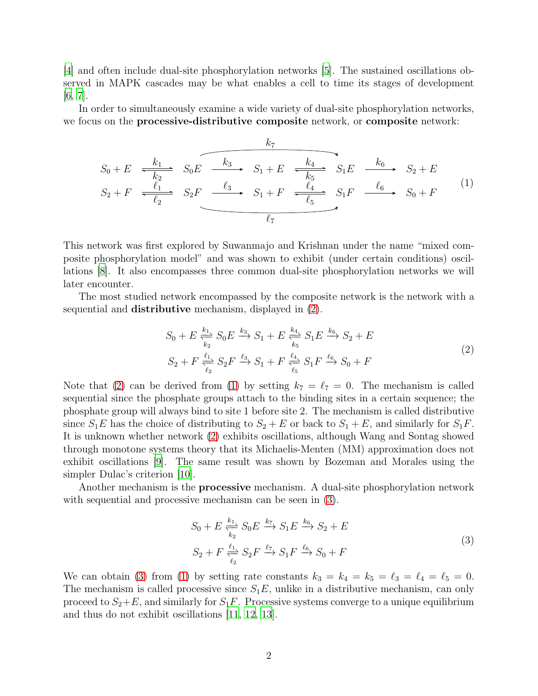[\[4](#page-8-3)] and often include dual-site phosphorylation networks [\[5\]](#page-8-4). The sustained oscillations observed in MAPK cascades may be what enables a cell to time its stages of development [\[6](#page-8-5), [7](#page-8-6)].

In order to simultaneously examine a wide variety of dual-site phosphorylation networks, we focus on the **processive-distributive composite** network, or **composite** network:

$$
S_0 + E \xrightarrow[k_1]{k_1} S_0 E \xrightarrow[k_3]{k_2} S_1 + E \xrightarrow[k_5]{k_4} S_1 E \xrightarrow[k_6]{k_6} S_2 + E
$$
  

$$
S_2 + F \xrightarrow[\ell_1]{\ell_1} S_2 F \xrightarrow[\ell_3]{\ell_3} S_1 + F \xrightarrow[\ell_4]{\ell_4} S_1 F \xrightarrow[\ell_6]{\ell_6} S_0 + F
$$

$$
(1)
$$

This network was first explored by Suwanmajo and Krishnan under the name "mixed composite phosphorylation model" and was shown to exhibit (under certain conditions) oscillations [\[8\]](#page-8-7). It also encompasses three common dual-site phosphorylation networks we will later encounter.

The most studied network encompassed by the composite network is the network with a sequential and distributive mechanism, displayed in [\(2\)](#page-1-0).

<span id="page-1-1"></span><span id="page-1-0"></span>
$$
S_0 + E \xrightarrow[k_2]{k_1} S_0 E \xrightarrow{k_3} S_1 + E \xrightarrow[k_5]{k_4} S_1 E \xrightarrow{k_6} S_2 + E
$$
  
\n
$$
S_2 + F \xrightarrow[\ell_2]{\ell_1} S_2 F \xrightarrow{\ell_3} S_1 + F \xrightarrow[\ell_5]{\ell_4} S_1 F \xrightarrow{\ell_6} S_0 + F
$$
\n(2)

Note that [\(2\)](#page-1-0) can be derived from [\(1\)](#page-1-1) by setting  $k_7 = \ell_7 = 0$ . The mechanism is called sequential since the phosphate groups attach to the binding sites in a certain sequence; the phosphate group will always bind to site 1 before site 2. The mechanism is called distributive since  $S_1E$  has the choice of distributing to  $S_2 + E$  or back to  $S_1 + E$ , and similarly for  $S_1F$ . It is unknown whether network [\(2\)](#page-1-0) exhibits oscillations, although Wang and Sontag showed through monotone systems theory that its Michaelis-Menten (MM) approximation does not exhibit oscillations [\[9\]](#page-9-0). The same result was shown by Bozeman and Morales using the simpler Dulac's criterion  $|10|$ .

Another mechanism is the **processive** mechanism. A dual-site phosphorylation network with sequential and processive mechanism can be seen in  $(3)$ .

<span id="page-1-2"></span>
$$
S_0 + E \xrightarrow[k_2]{k_1} S_0 E \xrightarrow{k_7} S_1 E \xrightarrow{k_6} S_2 + E
$$
  
\n
$$
S_2 + F \xrightarrow[\ell_2]{\ell_1} S_2 F \xrightarrow{\ell_7} S_1 F \xrightarrow{\ell_6} S_0 + F
$$
\n(3)

We can obtain [\(3\)](#page-1-2) from [\(1\)](#page-1-1) by setting rate constants  $k_3 = k_4 = k_5 = \ell_3 = \ell_4 = \ell_5 = 0$ . The mechanism is called processive since  $S_1E$ , unlike in a distributive mechanism, can only proceed to  $S_2 + E$ , and similarly for  $S_1F$ . Processive systems converge to a unique equilibrium and thus do not exhibit oscillations [\[11,](#page-9-2) [12,](#page-9-3) [13\]](#page-9-4).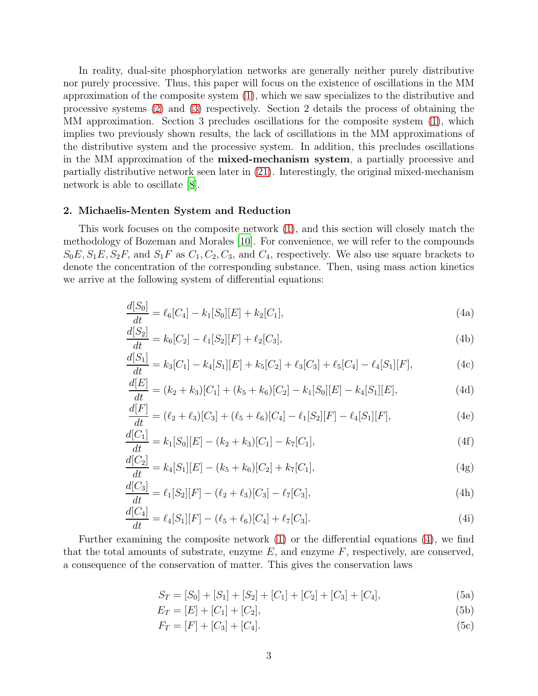In reality, dual-site phosphorylation networks are generally neither purely distributive nor purely processive. Thus, this paper will focus on the existence of oscillations in the MM approximation of the composite system [\(1\)](#page-1-1), which we saw specializes to the distributive and processive systems [\(2\)](#page-1-0) and [\(3\)](#page-1-2) respectively. Section 2 details the process of obtaining the MM approximation. Section 3 precludes oscillations for the composite system [\(1\)](#page-1-1), which implies two previously shown results, the lack of oscillations in the MM approximations of the distributive system and the processive system. In addition, this precludes oscillations in the MM approximation of the mixed-mechanism system, a partially processive and partially distributive network seen later in [\(21\)](#page-6-0). Interestingly, the original mixed-mechanism network is able to oscillate [\[8](#page-8-7)].

#### 2. Michaelis-Menten System and Reduction

<span id="page-2-0"></span>This work focuses on the composite network [\(1\)](#page-1-1), and this section will closely match the methodology of Bozeman and Morales [\[10\]](#page-9-1). For convenience, we will refer to the compounds  $S_0E, S_1E, S_2F$ , and  $S_1F$  as  $C_1, C_2, C_3$ , and  $C_4$ , respectively. We also use square brackets to denote the concentration of the corresponding substance. Then, using mass action kinetics we arrive at the following system of differential equations:

<span id="page-2-3"></span>
$$
\frac{d[S_0]}{dt} = \ell_6[C_4] - k_1[S_0][E] + k_2[C_1],\tag{4a}
$$

<span id="page-2-4"></span>
$$
\frac{d[S_2]}{dt} = k_6[C_2] - \ell_1[S_2][F] + \ell_2[C_3],\tag{4b}
$$

<span id="page-2-1"></span>
$$
\frac{d[S_1]}{dt} = k_3[C_1] - k_4[S_1][E] + k_5[C_2] + \ell_3[C_3] + \ell_5[C_4] - \ell_4[S_1][F],\tag{4c}
$$

<span id="page-2-9"></span>
$$
\frac{d[E]}{dt} = (k_2 + k_3)[C_1] + (k_5 + k_6)[C_2] - k_1[S_0][E] - k_4[S_1][E],\tag{4d}
$$

<span id="page-2-11"></span>
$$
\frac{d[F]}{dt} = (\ell_2 + \ell_3)[C_3] + (\ell_5 + \ell_6)[C_4] - \ell_1[S_2][F] - \ell_4[S_1][F],\tag{4e}
$$

<span id="page-2-5"></span>
$$
\frac{d[C_1]}{dt} = k_1[S_0][E] - (k_2 + k_3)[C_1] - k_7[C_1],\tag{4f}
$$

$$
\frac{d[C_2]}{dt} = k_4[S_1][E] - (k_5 + k_6)[C_2] + k_7[C_1],\tag{4g}
$$

$$
\frac{d[C_3]}{dt} = \ell_1[S_2][F] - (\ell_2 + \ell_3)[C_3] - \ell_7[C_3],\tag{4h}
$$

$$
\frac{d[C_4]}{dt} = \ell_4[S_1][F] - (\ell_5 + \ell_6)[C_4] + \ell_7[C_3].\tag{4i}
$$

<span id="page-2-13"></span>Further examining the composite network [\(1\)](#page-1-1) or the differential equations [\(4\)](#page-2-0), we find that the total amounts of substrate, enzyme  $E$ , and enzyme  $F$ , respectively, are conserved, a consequence of the conservation of matter. This gives the conservation laws

<span id="page-2-10"></span><span id="page-2-8"></span><span id="page-2-7"></span><span id="page-2-6"></span><span id="page-2-2"></span>
$$
S_T = [S_0] + [S_1] + [S_2] + [C_1] + [C_2] + [C_3] + [C_4],
$$
\n(5a)

$$
E_T = [E] + [C_1] + [C_2],\tag{5b}
$$

<span id="page-2-12"></span>
$$
F_T = [F] + [C_3] + [C_4].
$$
\n(5c)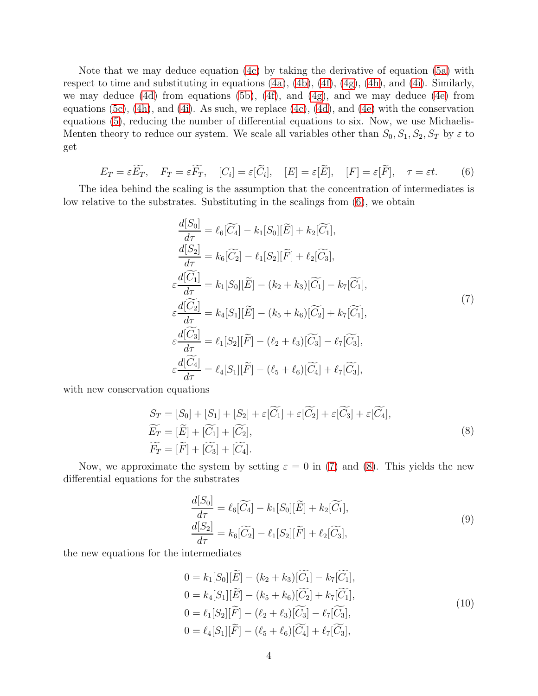Note that we may deduce equation [\(4c\)](#page-2-1) by taking the derivative of equation [\(5a\)](#page-2-2) with respect to time and substituting in equations [\(4a\)](#page-2-3), [\(4b\)](#page-2-4), [\(4f\)](#page-2-5), [\(4g\)](#page-2-6), [\(4h\)](#page-2-7), and [\(4i\)](#page-2-8). Similarly, we may deduce [\(4d\)](#page-2-9) from equations [\(5b\)](#page-2-10), [\(4f\)](#page-2-5), and [\(4g\)](#page-2-6), and we may deduce [\(4e\)](#page-2-11) from equations [\(5c\)](#page-2-12), [\(4h\)](#page-2-7), and [\(4i\)](#page-2-8). As such, we replace [\(4c\)](#page-2-1), [\(4d\)](#page-2-9), and [\(4e\)](#page-2-11) with the conservation equations [\(5\)](#page-2-13), reducing the number of differential equations to six. Now, we use Michaelis-Menten theory to reduce our system. We scale all variables other than  $S_0, S_1, S_2, S_T$  by  $\varepsilon$  to get

<span id="page-3-0"></span>
$$
E_T = \varepsilon \widetilde{E_T}, \quad F_T = \varepsilon \widetilde{F_T}, \quad [C_i] = \varepsilon [\widetilde{C}_i], \quad [E] = \varepsilon [\widetilde{E}], \quad [F] = \varepsilon [\widetilde{F}], \quad \tau = \varepsilon t. \tag{6}
$$

The idea behind the scaling is the assumption that the concentration of intermediates is low relative to the substrates. Substituting in the scalings from [\(6\)](#page-3-0), we obtain

<span id="page-3-1"></span>
$$
\frac{d[S_0]}{d\tau} = \ell_6[\widetilde{C}_4] - k_1[S_0][\widetilde{E}] + k_2[\widetilde{C}_1],
$$
\n
$$
\frac{d[S_2]}{d\tau} = k_6[\widetilde{C}_2] - \ell_1[S_2][\widetilde{F}] + \ell_2[\widetilde{C}_3],
$$
\n
$$
\varepsilon \frac{d[\widetilde{C}_1]}{d\tau} = k_1[S_0][\widetilde{E}] - (k_2 + k_3)[\widetilde{C}_1] - k_7[\widetilde{C}_1],
$$
\n
$$
\varepsilon \frac{d[\widetilde{C}_2]}{d\tau} = k_4[S_1][\widetilde{E}] - (k_5 + k_6)[\widetilde{C}_2] + k_7[\widetilde{C}_1],
$$
\n
$$
\varepsilon \frac{d[\widetilde{C}_3]}{d\tau} = \ell_1[S_2][\widetilde{F}] - (\ell_2 + \ell_3)[\widetilde{C}_3] - \ell_7[\widetilde{C}_3],
$$
\n
$$
\varepsilon \frac{d[\widetilde{C}_4]}{d\tau} = \ell_4[S_1][\widetilde{F}] - (\ell_5 + \ell_6)[\widetilde{C}_4] + \ell_7[\widetilde{C}_3],
$$
\n(7)

with new conservation equations

<span id="page-3-2"></span>
$$
S_T = [S_0] + [S_1] + [S_2] + \varepsilon[\widetilde{C_1}] + \varepsilon[\widetilde{C_2}] + \varepsilon[\widetilde{C_3}] + \varepsilon[\widetilde{C_4}],
$$
  
\n
$$
\widetilde{E_T} = [\widetilde{E}] + [\widetilde{C_1}] + [\widetilde{C_2}],
$$
  
\n
$$
\widetilde{F_T} = [\widetilde{F}] + [\widetilde{C_3}] + [\widetilde{C_4}].
$$
\n(8)

Now, we approximate the system by setting  $\varepsilon = 0$  in [\(7\)](#page-3-1) and [\(8\)](#page-3-2). This yields the new differential equations for the substrates

<span id="page-3-4"></span>
$$
\frac{d[S_0]}{d\tau} = \ell_6[\widetilde{C_4}] - k_1[S_0][\widetilde{E}] + k_2[\widetilde{C_1}],
$$
  
\n
$$
\frac{d[S_2]}{d\tau} = k_6[\widetilde{C_2}] - \ell_1[S_2][\widetilde{F}] + \ell_2[\widetilde{C_3}],
$$
\n(9)

the new equations for the intermediates

<span id="page-3-3"></span>
$$
0 = k_1[S_0][\widetilde{E}] - (k_2 + k_3)[\widetilde{C_1}] - k_7[\widetilde{C_1}],
$$
  
\n
$$
0 = k_4[S_1][\widetilde{E}] - (k_5 + k_6)[\widetilde{C_2}] + k_7[\widetilde{C_1}],
$$
  
\n
$$
0 = \ell_1[S_2][\widetilde{F}] - (\ell_2 + \ell_3)[\widetilde{C_3}] - \ell_7[\widetilde{C_3}],
$$
  
\n
$$
0 = \ell_4[S_1][\widetilde{F}] - (\ell_5 + \ell_6)[\widetilde{C_4}] + \ell_7[\widetilde{C_3}],
$$
\n(10)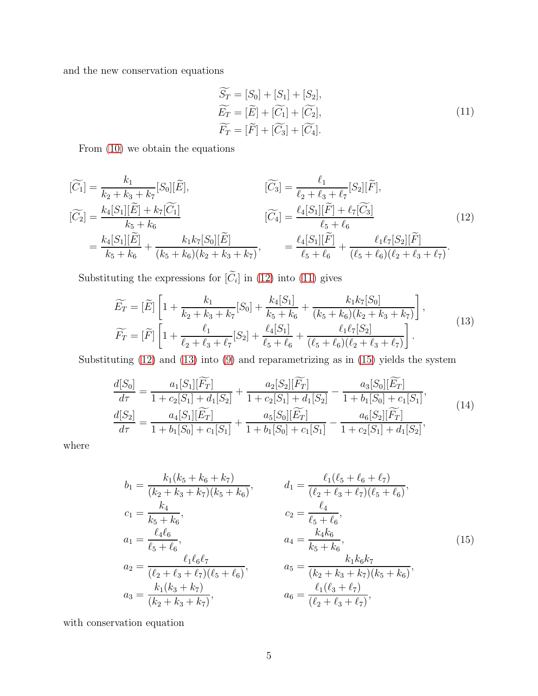and the new conservation equations

<span id="page-4-1"></span>
$$
\begin{aligned}\n\widetilde{S_T} &= [S_0] + [S_1] + [S_2], \\
\widetilde{E_T} &= [\widetilde{E}] + [\widetilde{C_1}] + [\widetilde{C_2}], \\
\widetilde{F_T} &= [\widetilde{F}] + [\widetilde{C_3}] + [\widetilde{C_4}].\n\end{aligned} \tag{11}
$$

From [\(10\)](#page-3-3) we obtain the equations

<span id="page-4-0"></span>
$$
\begin{aligned}\n[\widetilde{C}_{1}] &= \frac{k_{1}}{k_{2} + k_{3} + k_{7}} [S_{0}][\widetilde{E}], & [\widetilde{C}_{3}] &= \frac{\ell_{1}}{\ell_{2} + \ell_{3} + \ell_{7}} [S_{2}][\widetilde{F}], \\
[\widetilde{C}_{2}] &= \frac{k_{4}[S_{1}][\widetilde{E}] + k_{7}[\widetilde{C}_{1}]}{k_{5} + k_{6}} & [\widetilde{C}_{4}] &= \frac{\ell_{4}[S_{1}][\widetilde{F}] + \ell_{7}[\widetilde{C}_{3}]}{\ell_{5} + \ell_{6}} \\
&= \frac{k_{4}[S_{1}][\widetilde{E}]}{k_{5} + k_{6}} + \frac{k_{1}k_{7}[S_{0}][\widetilde{E}]}{(k_{5} + k_{6})(k_{2} + k_{3} + k_{7})}, &= \frac{\ell_{4}[S_{1}][\widetilde{F}]}{\ell_{5} + \ell_{6}} + \frac{\ell_{1}\ell_{7}[S_{2}][\widetilde{F}]}{(\ell_{5} + \ell_{6})(\ell_{2} + \ell_{3} + \ell_{7})}.\n\end{aligned} \tag{12}
$$

Substituting the expressions for  $[C_i]$  in [\(12\)](#page-4-0) into [\(11\)](#page-4-1) gives

<span id="page-4-2"></span>
$$
\widetilde{E_T} = [\widetilde{E}] \left[ 1 + \frac{k_1}{k_2 + k_3 + k_7} [S_0] + \frac{k_4 [S_1]}{k_5 + k_6} + \frac{k_1 k_7 [S_0]}{(k_5 + k_6)(k_2 + k_3 + k_7)} \right],
$$
\n
$$
\widetilde{F_T} = [\widetilde{F}] \left[ 1 + \frac{\ell_1}{\ell_2 + \ell_3 + \ell_7} [S_2] + \frac{\ell_4 [S_1]}{\ell_5 + \ell_6} + \frac{\ell_1 \ell_7 [S_2]}{(\ell_5 + \ell_6)(\ell_2 + \ell_3 + \ell_7)} \right].
$$
\n(13)

Substituting  $(12)$  and  $(13)$  into  $(9)$  and reparametrizing as in  $(15)$  yields the system

<span id="page-4-4"></span>
$$
\frac{d[S_0]}{d\tau} = \frac{a_1[S_1][\widetilde{F_T}]}{1 + c_2[S_1] + d_1[S_2]} + \frac{a_2[S_2][\widetilde{F_T}]}{1 + c_2[S_1] + d_1[S_2]} - \frac{a_3[S_0][\widetilde{E_T}]}{1 + b_1[S_0] + c_1[S_1]},
$$
\n
$$
\frac{d[S_2]}{d\tau} = \frac{a_4[S_1][\widetilde{E_T}]}{1 + b_1[S_0] + c_1[S_1]} + \frac{a_5[S_0][\widetilde{E_T}]}{1 + b_1[S_0] + c_1[S_1]} - \frac{a_6[S_2][\widetilde{F_T}]}{1 + c_2[S_1] + d_1[S_2]},
$$
\n(14)

where

$$
b_1 = \frac{k_1(k_5 + k_6 + k_7)}{(k_2 + k_3 + k_7)(k_5 + k_6)},
$$
  
\n
$$
c_1 = \frac{k_4}{k_5 + k_6},
$$
  
\n
$$
c_1 = \frac{k_4}{k_5 + k_6},
$$
  
\n
$$
c_2 = \frac{\ell_4}{\ell_5 + \ell_6},
$$
  
\n
$$
c_3 = \frac{\ell_1 \ell_6 \ell_7}{(\ell_2 + \ell_3 + \ell_7)(\ell_5 + \ell_6)},
$$
  
\n
$$
c_4 = \frac{k_4 k_6}{k_5 + k_6},
$$
  
\n
$$
c_5 = \frac{k_4 k_6}{k_5 + k_6},
$$
  
\n
$$
c_6 = \frac{k_1 k_6 k_7}{(k_2 + k_3 + k_7)(\ell_5 + \ell_6)},
$$
  
\n
$$
c_7 = \frac{\ell_1 \ell_6}{(\ell_2 + \ell_3 + \ell_7)(\ell_5 + \ell_6)},
$$
  
\n
$$
c_8 = \frac{k_1(k_3 + k_7)}{(\ell_2 + \ell_3 + \ell_7)},
$$
  
\n
$$
c_9 = \frac{\ell_1(\ell_3 + \ell_7)}{(\ell_2 + \ell_3 + \ell_7)},
$$
  
\n
$$
c_1 = \frac{\ell_1(\ell_3 + \ell_7)}{(\ell_2 + \ell_3 + \ell_7)},
$$
  
\n
$$
c_2 = \frac{\ell_1(\ell_3 + \ell_7)}{(\ell_2 + \ell_3 + \ell_7)},
$$
  
\n
$$
c_3 = \frac{\ell_1(\ell_3 + \ell_7)}{(\ell_2 + \ell_3 + \ell_7)},
$$
  
\n
$$
c_4 = \frac{\ell_1(\ell_3 + \ell_7)}{(\ell_2 + \ell_3 + \ell_7)},
$$
  
\n
$$
c_5 = \frac{\ell_1(\ell_3 + \ell_7)}{(\ell_2 + \ell_3 + \ell_7)},
$$
  
\n
$$
c_6 = \frac{\ell_1(\ell_3 + \ell_7)}{(\ell_2 + \ell_3 + \ell_7)}
$$
  
\n
$$
c_7 = \frac{\
$$

<span id="page-4-3"></span>with conservation equation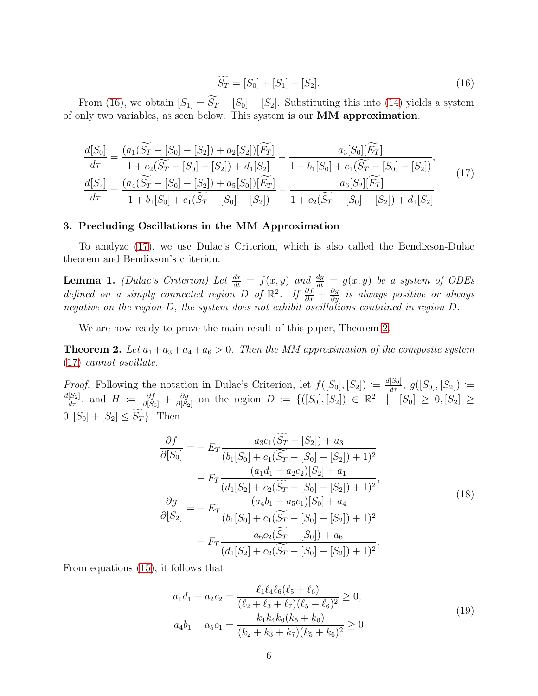<span id="page-5-0"></span>
$$
\widetilde{S_T} = [S_0] + [S_1] + [S_2]. \tag{16}
$$

From [\(16\)](#page-5-0), we obtain  $[S_1] = \widetilde{S_T} - [S_0] - [S_2]$ . Substituting this into [\(14\)](#page-4-4) yields a system of only two variables, as seen below. This system is our MM approximation.

<span id="page-5-1"></span>
$$
\frac{d[S_0]}{d\tau} = \frac{(a_1(\widetilde{S_T} - [S_0] - [S_2]) + a_2[S_2])[\widetilde{F_T}]}{1 + c_2(\widetilde{S_T} - [S_0] - [S_2]) + d_1[S_2]} - \frac{a_3[S_0][\widetilde{E_T}]}{1 + b_1[S_0] + c_1(\widetilde{S_T} - [S_0] - [S_2])},
$$
\n
$$
\frac{d[S_2]}{d\tau} = \frac{(a_4(\widetilde{S_T} - [S_0] - [S_2]) + a_5[S_0])[\widetilde{E_T}]}{1 + b_1[S_0] + c_1(\widetilde{S_T} - [S_0] - [S_2])} - \frac{a_6[S_2][\widetilde{F_T}]}{1 + c_2(\widetilde{S_T} - [S_0] - [S_2]) + d_1[S_2]}.
$$
\n(17)

### 3. Precluding Oscillations in the MM Approximation

To analyze [\(17\)](#page-5-1), we use Dulac's Criterion, which is also called the Bendixson-Dulac theorem and Bendixson's criterion.

**Lemma 1.** *(Dulac's Criterion) Let*  $\frac{dx}{dt} = f(x, y)$  *and*  $\frac{dy}{dt} = g(x, y)$  *be a system of ODEs defined on a simply connected region* D *of*  $\mathbb{R}^2$ . If  $\frac{\partial f}{\partial x} + \frac{\partial g}{\partial y}$  *is always positive or always negative on the region* D*, the system does not exhibit oscillations contained in region* D*.*

We are now ready to prove the main result of this paper, Theorem [2.](#page-5-2)

<span id="page-5-2"></span>**Theorem 2.** Let  $a_1 + a_3 + a_4 + a_6 > 0$ . Then the MM approximation of the composite system [\(17\)](#page-5-1) *cannot oscillate.*

*Proof.* Following the notation in Dulac's Criterion, let  $f([S_0], [S_2]) \coloneqq \frac{d[S_0]}{d\tau}$ ,  $g([S_0], [S_2]) \coloneqq \frac{d[S_2]}{d\tau}$ , and  $H \coloneqq \frac{\partial f}{\partial[S_0]} + \frac{\partial g}{\partial[S_2]}$  on the region  $D \coloneqq \{([S_0], [S_2]) \in \mathbb{R}^2 \mid [S_0] \geq 0, [S_2] \ge$  $\frac{\partial g}{\partial [S_2]}$  on the region  $D := \{([S_0], [S_2]) \in \mathbb{R}^2 \mid [S_0] \ge 0, [S_2] \ge$  $0, [S_0] + [S_2] \leq S_T$ . Then

<span id="page-5-4"></span>
$$
\frac{\partial f}{\partial [S_0]} = -E_T \frac{a_3 c_1 (S_T - [S_2]) + a_3}{(b_1 [S_0] + c_1 (S_T - [S_0] - [S_2]) + 1)^2}
$$

$$
-F_T \frac{(a_1 d_1 - a_2 c_2) [S_2] + a_1}{(d_1 [S_2] + c_2 (S_T - [S_0] - [S_2]) + 1)^2},
$$

$$
\frac{\partial g}{\partial [S_2]} = -E_T \frac{(a_4 b_1 - a_5 c_1) [S_0] + a_4}{(b_1 [S_0] + c_1 (S_T - [S_0] - [S_2]) + 1)^2}
$$

$$
-F_T \frac{a_6 c_2 (S_T - [S_0]) + a_6}{(d_1 [S_2] + c_2 (S_T - [S_0] - [S_2]) + 1)^2}.
$$
(18)

From equations [\(15\)](#page-4-3), it follows that

<span id="page-5-3"></span>
$$
a_1 d_1 - a_2 c_2 = \frac{\ell_1 \ell_4 \ell_6 (\ell_5 + \ell_6)}{(\ell_2 + \ell_3 + \ell_7)(\ell_5 + \ell_6)^2} \ge 0,
$$
  
\n
$$
a_4 b_1 - a_5 c_1 = \frac{k_1 k_4 k_6 (k_5 + k_6)}{(k_2 + k_3 + k_7)(k_5 + k_6)^2} \ge 0.
$$
\n(19)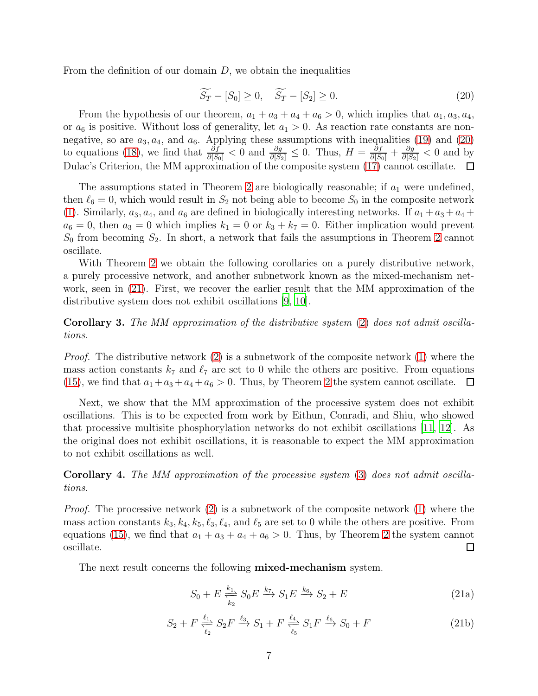From the definition of our domain  $D$ , we obtain the inequalities

<span id="page-6-1"></span>
$$
\widetilde{S_T} - [S_0] \ge 0, \quad \widetilde{S_T} - [S_2] \ge 0. \tag{20}
$$

From the hypothesis of our theorem,  $a_1 + a_3 + a_4 + a_6 > 0$ , which implies that  $a_1, a_3, a_4$ , or  $a_6$  is positive. Without loss of generality, let  $a_1 > 0$ . As reaction rate constants are nonnegative, so are  $a_3, a_4$ , and  $a_6$ . Applying these assumptions with inequalities [\(19\)](#page-5-3) and [\(20\)](#page-6-1) to equations [\(18\)](#page-5-4), we find that  $\frac{\partial f}{\partial [S_0]} < 0$  and  $\frac{\partial g}{\partial [S_2]} \leq 0$ . Thus,  $H = \frac{\partial f}{\partial [S_0]} + \frac{\partial g}{\partial [S_2]} < 0$  and by Dulac's Criterion, the MM approximation of the composite system [\(17\)](#page-5-1) cannot oscillate.  $\Box$ 

The assumptions stated in Theorem [2](#page-5-2) are biologically reasonable; if  $a_1$  were undefined, then  $\ell_6 = 0$ , which would result in  $S_2$  not being able to become  $S_0$  in the composite network [\(1\)](#page-1-1). Similarly,  $a_3, a_4$ , and  $a_6$  are defined in biologically interesting networks. If  $a_1 + a_3 + a_4 +$  $a_6 = 0$ , then  $a_3 = 0$  which implies  $k_1 = 0$  or  $k_3 + k_7 = 0$ . Either implication would prevent  $S_0$  from becoming  $S_2$ . In short, a network that fails the assumptions in Theorem [2](#page-5-2) cannot oscillate.

With Theorem [2](#page-5-2) we obtain the following corollaries on a purely distributive network, a purely processive network, and another subnetwork known as the mixed-mechanism network, seen in [\(21\)](#page-6-0). First, we recover the earlier result that the MM approximation of the distributive system does not exhibit oscillations [\[9,](#page-9-0) [10\]](#page-9-1).

Corollary 3. *The MM approximation of the distributive system* [\(2\)](#page-1-0) *does not admit oscillations.*

*Proof.* The distributive network [\(2\)](#page-1-0) is a subnetwork of the composite network [\(1\)](#page-1-1) where the mass action constants  $k_7$  and  $\ell_7$  are set to 0 while the others are positive. From equations [\(15\)](#page-4-3), we find that  $a_1 + a_3 + a_4 + a_6 > 0$ . Thus, by Theorem [2](#page-5-2) the system cannot oscillate.  $\Box$ 

Next, we show that the MM approximation of the processive system does not exhibit oscillations. This is to be expected from work by Eithun, Conradi, and Shiu, who showed that processive multisite phosphorylation networks do not exhibit oscillations [\[11,](#page-9-2) [12\]](#page-9-3). As the original does not exhibit oscillations, it is reasonable to expect the MM approximation to not exhibit oscillations as well.

Corollary 4. *The MM approximation of the processive system* [\(3\)](#page-1-2) *does not admit oscillations.*

*Proof.* The processive network [\(2\)](#page-1-0) is a subnetwork of the composite network [\(1\)](#page-1-1) where the mass action constants  $k_3, k_4, k_5, \ell_3, \ell_4$ , and  $\ell_5$  are set to 0 while the others are positive. From equations [\(15\)](#page-4-3), we find that  $a_1 + a_3 + a_4 + a_6 > 0$ . Thus, by Theorem [2](#page-5-2) the system cannot oscillate.  $\Box$ 

<span id="page-6-0"></span>The next result concerns the following **mixed-mechanism** system.

<span id="page-6-2"></span>
$$
S_0 + E \xrightarrow[k_2]{k_1} S_0 E \xrightarrow{k_7} S_1 E \xrightarrow{k_6} S_2 + E \tag{21a}
$$

<span id="page-6-3"></span>
$$
S_2 + F \xleftarrow{\ell_1} S_2 F \xrightarrow{\ell_3} S_1 + F \xleftarrow{\ell_4} S_1 F \xrightarrow{\ell_6} S_0 + F
$$
 (21b)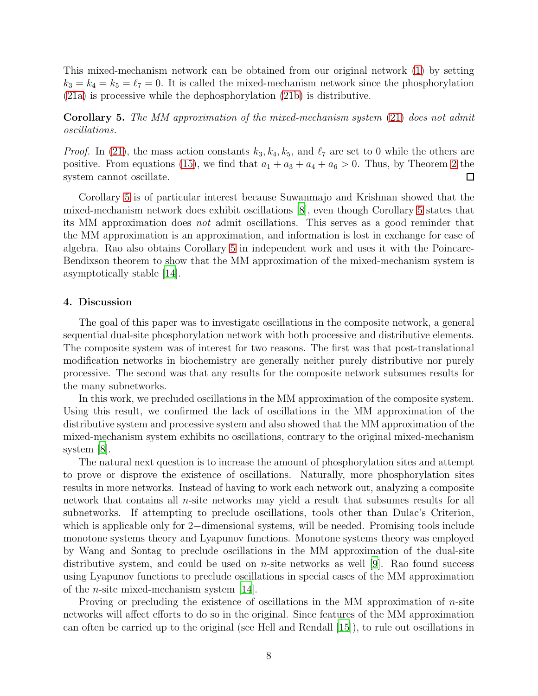This mixed-mechanism network can be obtained from our original network [\(1\)](#page-1-1) by setting  $k_3 = k_4 = k_5 = \ell_7 = 0$ . It is called the mixed-mechanism network since the phosphorylation [\(21a\)](#page-6-2) is processive while the dephosphorylation [\(21b\)](#page-6-3) is distributive.

<span id="page-7-0"></span>Corollary 5. *The MM approximation of the mixed-mechanism system* [\(21\)](#page-6-0) *does not admit oscillations.*

*Proof.* In [\(21\)](#page-6-0), the mass action constants  $k_3, k_4, k_5$ , and  $\ell_7$  are set to 0 while the others are positive. From equations [\(15\)](#page-4-3), we find that  $a_1 + a_3 + a_4 + a_6 > 0$ . Thus, by Theorem [2](#page-5-2) the system cannot oscillate.  $\Box$ 

Corollary [5](#page-7-0) is of particular interest because Suwanmajo and Krishnan showed that the mixed-mechanism network does exhibit oscillations [\[8\]](#page-8-7), even though Corollary [5](#page-7-0) states that its MM approximation does *not* admit oscillations. This serves as a good reminder that the MM approximation is an approximation, and information is lost in exchange for ease of algebra. Rao also obtains Corollary [5](#page-7-0) in independent work and uses it with the Poincare-Bendixson theorem to show that the MM approximation of the mixed-mechanism system is asymptotically stable [\[14\]](#page-9-5).

### 4. Discussion

The goal of this paper was to investigate oscillations in the composite network, a general sequential dual-site phosphorylation network with both processive and distributive elements. The composite system was of interest for two reasons. The first was that post-translational modification networks in biochemistry are generally neither purely distributive nor purely processive. The second was that any results for the composite network subsumes results for the many subnetworks.

In this work, we precluded oscillations in the MM approximation of the composite system. Using this result, we confirmed the lack of oscillations in the MM approximation of the distributive system and processive system and also showed that the MM approximation of the mixed-mechanism system exhibits no oscillations, contrary to the original mixed-mechanism system [\[8\]](#page-8-7).

The natural next question is to increase the amount of phosphorylation sites and attempt to prove or disprove the existence of oscillations. Naturally, more phosphorylation sites results in more networks. Instead of having to work each network out, analyzing a composite network that contains all  $n$ -site networks may yield a result that subsumes results for all subnetworks. If attempting to preclude oscillations, tools other than Dulac's Criterion, which is applicable only for 2−dimensional systems, will be needed. Promising tools include monotone systems theory and Lyapunov functions. Monotone systems theory was employed by Wang and Sontag to preclude oscillations in the MM approximation of the dual-site distributive system, and could be used on *n*-site networks as well [\[9](#page-9-0)]. Rao found success using Lyapunov functions to preclude oscillations in special cases of the MM approximation of the *n*-site mixed-mechanism system  $[14]$ .

Proving or precluding the existence of oscillations in the MM approximation of  $n$ -site networks will affect efforts to do so in the original. Since features of the MM approximation can often be carried up to the original (see Hell and Rendall [\[15\]](#page-9-6)), to rule out oscillations in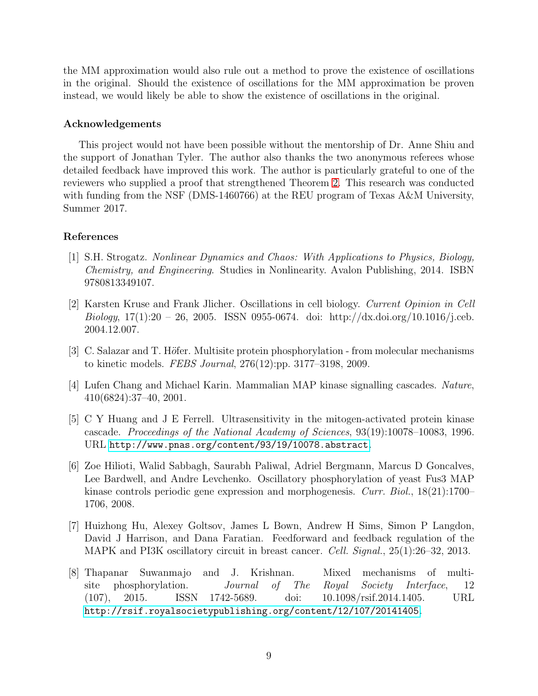the MM approximation would also rule out a method to prove the existence of oscillations in the original. Should the existence of oscillations for the MM approximation be proven instead, we would likely be able to show the existence of oscillations in the original.

## Acknowledgements

This project would not have been possible without the mentorship of Dr. Anne Shiu and the support of Jonathan Tyler. The author also thanks the two anonymous referees whose detailed feedback have improved this work. The author is particularly grateful to one of the reviewers who supplied a proof that strengthened Theorem [2.](#page-5-2) This research was conducted with funding from the NSF (DMS-1460766) at the REU program of Texas A&M University, Summer 2017.

## References

- <span id="page-8-0"></span>[1] S.H. Strogatz. *Nonlinear Dynamics and Chaos: With Applications to Physics, Biology, Chemistry, and Engineering*. Studies in Nonlinearity. Avalon Publishing, 2014. ISBN 9780813349107.
- <span id="page-8-1"></span>[2] Karsten Kruse and Frank Jlicher. Oscillations in cell biology. *Current Opinion in Cell Biology*, 17(1):20 – 26, 2005. ISSN 0955-0674. doi: http://dx.doi.org/10.1016/j.ceb. 2004.12.007.
- <span id="page-8-2"></span>[3] C. Salazar and T. Höfer. Multisite protein phosphorylation - from molecular mechanisms to kinetic models. *FEBS Journal*, 276(12):pp. 3177–3198, 2009.
- <span id="page-8-3"></span>[4] Lufen Chang and Michael Karin. Mammalian MAP kinase signalling cascades. *Nature*, 410(6824):37–40, 2001.
- <span id="page-8-4"></span>[5] C Y Huang and J E Ferrell. Ultrasensitivity in the mitogen-activated protein kinase cascade. *Proceedings of the National Academy of Sciences*, 93(19):10078–10083, 1996. URL <http://www.pnas.org/content/93/19/10078.abstract>.
- <span id="page-8-5"></span>[6] Zoe Hilioti, Walid Sabbagh, Saurabh Paliwal, Adriel Bergmann, Marcus D Goncalves, Lee Bardwell, and Andre Levchenko. Oscillatory phosphorylation of yeast Fus3 MAP kinase controls periodic gene expression and morphogenesis. *Curr. Biol.*, 18(21):1700– 1706, 2008.
- <span id="page-8-6"></span>[7] Huizhong Hu, Alexey Goltsov, James L Bown, Andrew H Sims, Simon P Langdon, David J Harrison, and Dana Faratian. Feedforward and feedback regulation of the MAPK and PI3K oscillatory circuit in breast cancer. *Cell. Signal.*, 25(1):26–32, 2013.
- <span id="page-8-7"></span>[8] Thapanar Suwanmajo and J. Krishnan. Mixed mechanisms of multisite phosphorylation. *Journal of The Royal Society Interface*, 12 (107), 2015. ISSN 1742-5689. doi: 10.1098/rsif.2014.1405. URL <http://rsif.royalsocietypublishing.org/content/12/107/20141405>.